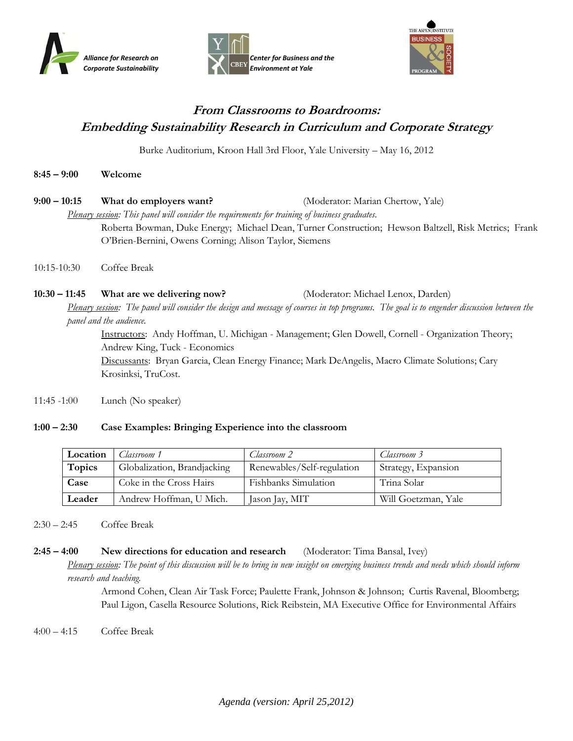





# **From Classrooms to Boardrooms: Embedding Sustainability Research in Curriculum and Corporate Strategy**

Burke Auditorium, Kroon Hall 3rd Floor, Yale University – May 16, 2012

| $8:45 - 9:00$ | Welcome |
|---------------|---------|
|---------------|---------|

| $9:00 - 10:15$                                                                                 | What do employers want?                                | (Moderator: Marian Chertow, Yale)                                                                    |  |  |
|------------------------------------------------------------------------------------------------|--------------------------------------------------------|------------------------------------------------------------------------------------------------------|--|--|
| Plenary session: This panel will consider the requirements for training of business graduates. |                                                        |                                                                                                      |  |  |
|                                                                                                | O'Brien-Bernini, Owens Corning; Alison Taylor, Siemens | Roberta Bowman, Duke Energy; Michael Dean, Turner Construction; Hewson Baltzell, Risk Metrics; Frank |  |  |
| $10:15 - 10:30$                                                                                | Coffee Break                                           |                                                                                                      |  |  |

**10:30 – 11:45 What are we delivering now?** (Moderator: Michael Lenox, Darden)

*Plenary session: The panel will consider the design and message of courses in top programs. The goal is to engender discussion between the panel and the audience.* 

Instructors: Andy Hoffman, U. Michigan - Management; Glen Dowell, Cornell - Organization Theory; Andrew King, Tuck - Economics

Discussants: Bryan Garcia, Clean Energy Finance; Mark DeAngelis, Macro Climate Solutions; Cary Krosinksi, TruCost.

11:45 -1:00 Lunch (No speaker)

## **1:00 – 2:30 Case Examples: Bringing Experience into the classroom**

| Location | Classroom 1                 | Classroom 2                | Classroom 3         |
|----------|-----------------------------|----------------------------|---------------------|
| Topics   | Globalization, Brandjacking | Renewables/Self-regulation | Strategy, Expansion |
| Case     | Coke in the Cross Hairs     | Fishbanks Simulation       | Trina Solar         |
| Leader   | Andrew Hoffman, U Mich.     | Jason Jay, MIT             | Will Goetzman, Yale |

#### 2:30 – 2:45 Coffee Break

## **2:45 – 4:00 New directions for education and research** (Moderator: Tima Bansal, Ivey)

*Plenary session:* The point of this discussion will be to bring in new insight on emerging business trends and needs which should inform *research and teaching.*

> Armond Cohen, Clean Air Task Force; Paulette Frank, Johnson & Johnson; Curtis Ravenal, Bloomberg; Paul Ligon, Casella Resource Solutions, Rick Reibstein, MA Executive Office for Environmental Affairs

4:00 – 4:15 Coffee Break